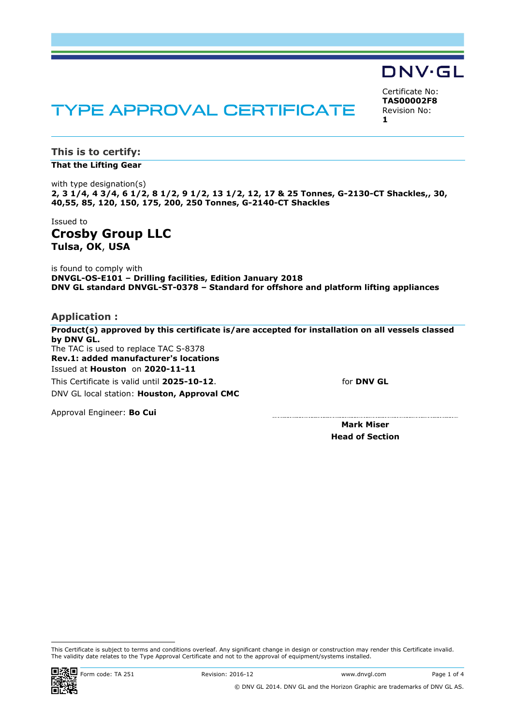# TYPE APPROVAL CERTIFICATE

Certificate No: **TAS00002F8** Revision No: **1**

**DNV·GL** 

**This is to certify: That the Lifting Gear**

with type designation(s) **2, 3 1/4, 4 3/4, 6 1/2, 8 1/2, 9 1/2, 13 1/2, 12, 17 & 25 Tonnes, G-2130-CT Shackles,, 30, 40,55, 85, 120, 150, 175, 200, 250 Tonnes, G-2140-CT Shackles**

Issued to **Crosby Group LLC Tulsa, OK**, **USA**

is found to comply with **DNVGL-OS-E101 – Drilling facilities, Edition January 2018 DNV GL standard DNVGL-ST-0378 – Standard for offshore and platform lifting appliances**

**Application :**

**Product(s) approved by this certificate is/are accepted for installation on all vessels classed by DNV GL.** The TAC is used to replace TAC S-8378 **Rev.1: added manufacturer's locations**Issued at **Houston** on **2020-11-11** for **DNV GL** This Certificate is valid until **2025-10-12**. DNV GL local station: **Houston, Approval CMC**

Approval Engineer: **Bo Cui**

**Mark Miser Head of Section**

This Certificate is subject to terms and conditions overleaf. Any significant change in design or construction may render this Certificate invalid. The validity date relates to the Type Approval Certificate and not to the approval of equipment/systems installed.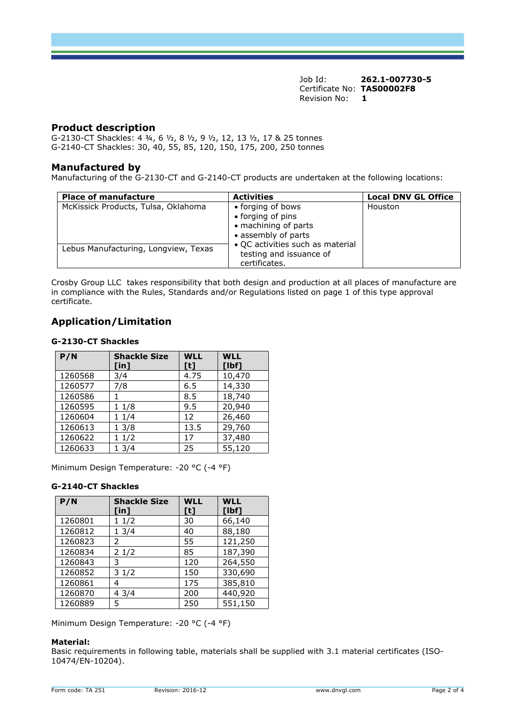Job Id: **262.1-007730-5**  Certificate No: **TAS00002F8** Revision No: **1** 

## **Product description**

G-2130-CT Shackles: 4 ¾, 6 ½, 8 ½, 9 ½, 12, 13 ½, 17 & 25 tonnes G-2140-CT Shackles: 30, 40, 55, 85, 120, 150, 175, 200, 250 tonnes

### **Manufactured by**

Manufacturing of the G-2130-CT and G-2140-CT products are undertaken at the following locations:

| <b>Place of manufacture</b>          | <b>Activities</b>                                                                     | <b>Local DNV GL Office</b> |
|--------------------------------------|---------------------------------------------------------------------------------------|----------------------------|
| McKissick Products, Tulsa, Oklahoma  | • forging of bows<br>• forging of pins<br>• machining of parts<br>• assembly of parts | Houston                    |
| Lebus Manufacturing, Longview, Texas | • QC activities such as material<br>testing and issuance of<br>certificates.          |                            |

Crosby Group LLC takes responsibility that both design and production at all places of manufacture are in compliance with the Rules, Standards and/or Regulations listed on page 1 of this type approval certificate.

# **Application/Limitation**

#### **G-2130-CT Shackles**

| P/N     | <b>Shackle Size</b><br>$[$ in] | <b>WLL</b><br>[t] | <b>WLL</b><br>[1bf] |
|---------|--------------------------------|-------------------|---------------------|
| 1260568 | 3/4                            | 4.75              | 10,470              |
| 1260577 | 7/8                            | 6.5               | 14,330              |
| 1260586 |                                | 8.5               | 18,740              |
| 1260595 | 11/8                           | 9.5               | 20,940              |
| 1260604 | 11/4                           | 12                | 26,460              |
| 1260613 | 13/8                           | 13.5              | 29,760              |
| 1260622 | 11/2                           | 17                | 37,480              |
| 1260633 | 13/4                           | 25                | 55,120              |

Minimum Design Temperature: -20 °C (-4 °F)

## **G-2140-CT Shackles**

| P/N     | <b>Shackle Size</b><br>$[$ in] | <b>WLL</b><br>[t] | <b>WLL</b><br>[1bf] |
|---------|--------------------------------|-------------------|---------------------|
| 1260801 | 11/2                           | 30                | 66,140              |
| 1260812 | 13/4                           | 40                | 88,180              |
| 1260823 | 2                              | 55                | 121,250             |
| 1260834 | 21/2                           | 85                | 187,390             |
| 1260843 | 3                              | 120               | 264,550             |
| 1260852 | 31/2                           | 150               | 330,690             |
| 1260861 | 4                              | 175               | 385,810             |
| 1260870 | 43/4                           | 200               | 440,920             |
| 1260889 | 5                              | 250               | 551,150             |

Minimum Design Temperature: -20 °C (-4 °F)

#### **Material:**

Basic requirements in following table, materials shall be supplied with 3.1 material certificates (ISO-10474/EN-10204).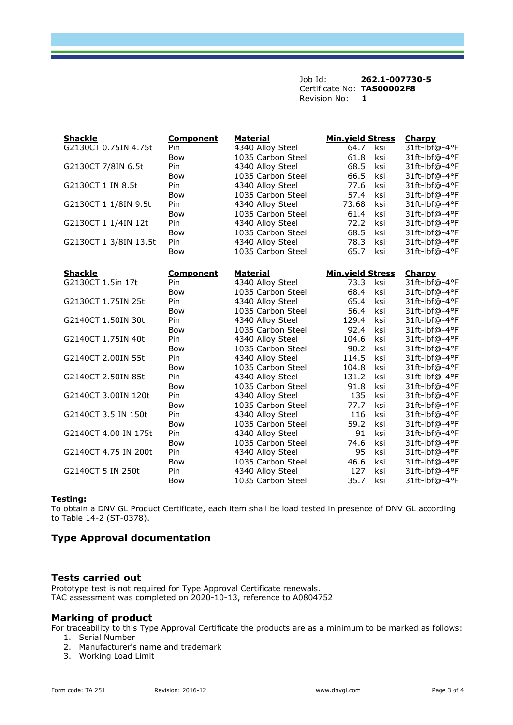Job Id: **262.1-007730-5**  Certificate No: **TAS00002F8** Revision No: **1** 

| <b>Shackle</b>        | <b>Component</b> | <b>Material</b>   | <b>Min.yield Stress</b> | Charpy        |
|-----------------------|------------------|-------------------|-------------------------|---------------|
| G2130CT 0.75IN 4.75t  | Pin              | 4340 Alloy Steel  | 64.7<br>ksi             | 31ft-lbf@-4°F |
|                       | <b>Bow</b>       | 1035 Carbon Steel | 61.8<br>ksi             | 31ft-lbf@-4°F |
| G2130CT 7/8IN 6.5t    | Pin              | 4340 Alloy Steel  | 68.5<br>ksi             | 31ft-lbf@-4°F |
|                       | <b>Bow</b>       | 1035 Carbon Steel | 66.5<br>ksi             | 31ft-lbf@-4°F |
| G2130CT 1 IN 8.5t     | Pin              | 4340 Alloy Steel  | 77.6<br>ksi             | 31ft-lbf@-4°F |
|                       | Bow              | 1035 Carbon Steel | 57.4<br>ksi             | 31ft-lbf@-4°F |
| G2130CT 1 1/8IN 9.5t  | Pin              | 4340 Alloy Steel  | 73.68<br>ksi            | 31ft-lbf@-4°F |
|                       | <b>Bow</b>       | 1035 Carbon Steel | 61.4<br>ksi             | 31ft-lbf@-4°F |
| G2130CT 1 1/4IN 12t   | Pin              | 4340 Alloy Steel  | 72.2<br>ksi             | 31ft-lbf@-4°F |
|                       | <b>Bow</b>       | 1035 Carbon Steel | 68.5<br>ksi             | 31ft-lbf@-4°F |
| G2130CT 1 3/8IN 13.5t | Pin              | 4340 Alloy Steel  | ksi<br>78.3             | 31ft-lbf@-4°F |
|                       | <b>Bow</b>       | 1035 Carbon Steel | 65.7<br>ksi             | 31ft-Ibf@-4°F |
| <b>Shackle</b>        | <b>Component</b> | <b>Material</b>   | <b>Min.yield Stress</b> | <b>Charpy</b> |
| G2130CT 1.5in 17t     | Pin              | 4340 Alloy Steel  | 73.3<br>ksi             | 31ft-lbf@-4°F |
|                       | <b>Bow</b>       | 1035 Carbon Steel | 68.4<br>ksi             | 31ft-lbf@-4°F |
| G2130CT 1.75IN 25t    | Pin              | 4340 Alloy Steel  | 65.4<br>ksi             | 31ft-lbf@-4°F |
|                       | <b>Bow</b>       | 1035 Carbon Steel | 56.4<br>ksi             | 31ft-lbf@-4°F |
| G2140CT 1.50IN 30t    | Pin              | 4340 Alloy Steel  | 129.4<br>ksi            | 31ft-lbf@-4°F |
|                       | <b>Bow</b>       | 1035 Carbon Steel | 92.4<br>ksi             | 31ft-lbf@-4°F |
| G2140CT 1.75IN 40t    | Pin              | 4340 Alloy Steel  | 104.6<br>ksi            | 31ft-lbf@-4°F |
|                       | <b>Bow</b>       | 1035 Carbon Steel | 90.2<br>ksi             | 31ft-lbf@-4°F |
| G2140CT 2.00IN 55t    | Pin              | 4340 Alloy Steel  | 114.5<br>ksi            | 31ft-lbf@-4°F |
|                       | <b>Bow</b>       | 1035 Carbon Steel | ksi<br>104.8            | 31ft-Ibf@-4°F |
| G2140CT 2.50IN 85t    | Pin              | 4340 Alloy Steel  | 131.2<br>ksi            | 31ft-lbf@-4°F |
|                       | <b>Bow</b>       | 1035 Carbon Steel | 91.8<br>ksi             | 31ft-lbf@-4°F |
| G2140CT 3.00IN 120t   | Pin              | 4340 Alloy Steel  | 135<br>ksi              | 31ft-lbf@-4°F |
|                       | <b>Bow</b>       | 1035 Carbon Steel | 77.7<br>ksi             | 31ft-lbf@-4°F |
| G2140CT 3.5 IN 150t   | Pin              | 4340 Alloy Steel  | 116<br>ksi              | 31ft-lbf@-4°F |
|                       | <b>Bow</b>       | 1035 Carbon Steel | 59.2<br>ksi             | 31ft-lbf@-4°F |
| G2140CT 4.00 IN 175t  | Pin              | 4340 Alloy Steel  | 91<br>ksi               | 31ft-lbf@-4°F |
|                       | <b>Bow</b>       | 1035 Carbon Steel | 74.6<br>ksi             | 31ft-lbf@-4°F |
| G2140CT 4.75 IN 200t  | Pin              | 4340 Alloy Steel  | 95<br>ksi               | 31ft-lbf@-4°F |
|                       | <b>Bow</b>       | 1035 Carbon Steel | 46.6<br>ksi             | 31ft-lbf@-4°F |
| G2140CT 5 IN 250t     | Pin              | 4340 Alloy Steel  | 127<br>ksi              | 31ft-lbf@-4°F |
|                       | Bow              | 1035 Carbon Steel | 35.7<br>ksi             | 31ft-lbf@-4°F |

#### **Testing:**

To obtain a DNV GL Product Certificate, each item shall be load tested in presence of DNV GL according to Table 14-2 (ST-0378).

# **Type Approval documentation**

#### **Tests carried out**

Prototype test is not required for Type Approval Certificate renewals. TAC assessment was completed on 2020-10-13, reference to A0804752

## **Marking of product**

For traceability to this Type Approval Certificate the products are as a minimum to be marked as follows:

- 1. Serial Number
- 2. Manufacturer's name and trademark
- 3. Working Load Limit